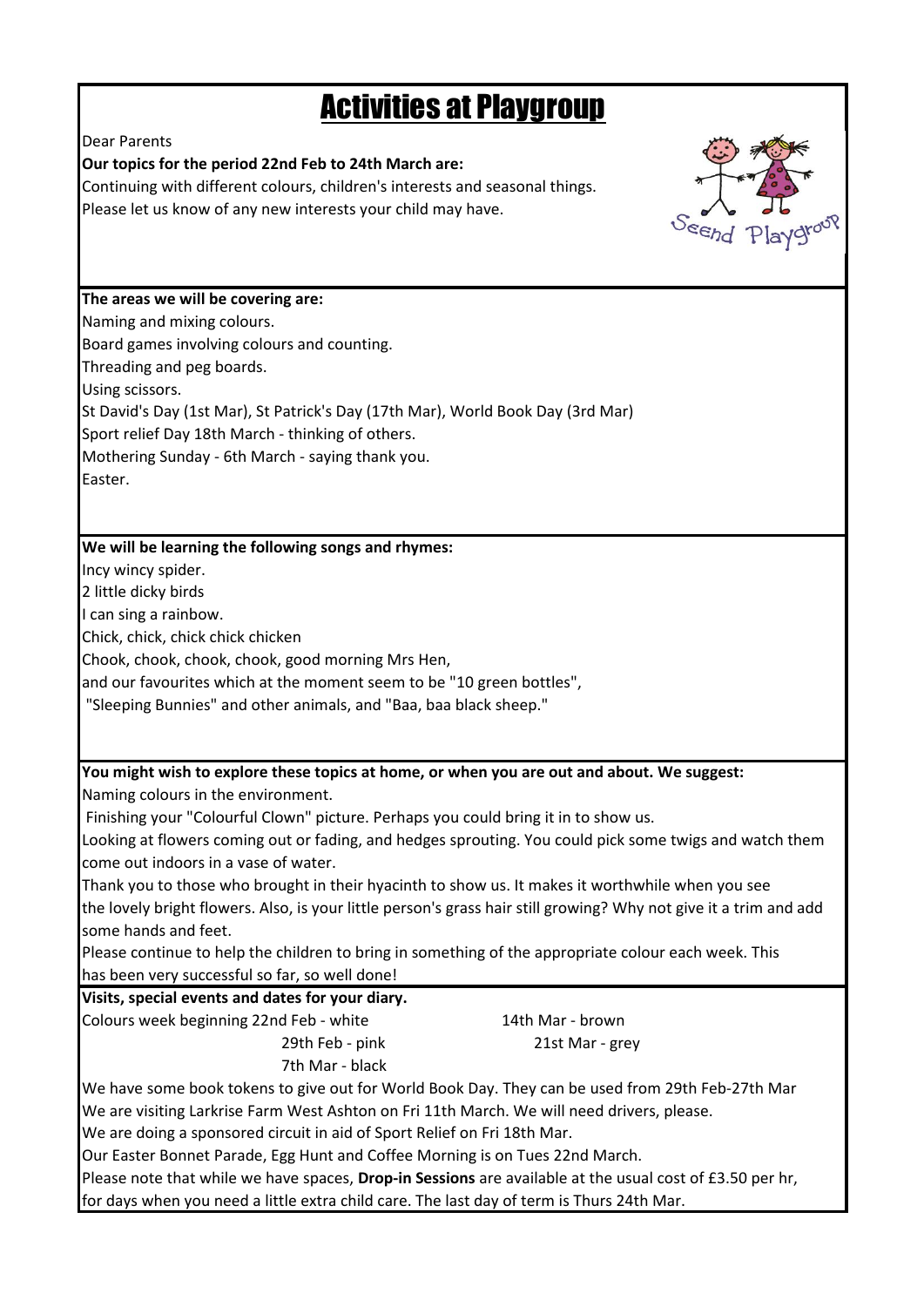## Activities at Playgroup

Dear Parents

## **Our topics for the period 22nd Feb to 24th March are:**

Continuing with different colours, children's interests and seasonal things. Please let us know of any new interests your child may have.



**The areas we will be covering are:**

Naming and mixing colours.

Board games involving colours and counting.

Threading and peg boards.

Using scissors.

St David's Day (1st Mar), St Patrick's Day (17th Mar), World Book Day (3rd Mar)

Sport relief Day 18th March - thinking of others.

Mothering Sunday - 6th March - saying thank you.

Easter.

## **We will be learning the following songs and rhymes:**

Incy wincy spider.

2 little dicky birds

I can sing a rainbow.

Chick, chick, chick chick chicken

Chook, chook, chook, chook, good morning Mrs Hen,

and our favourites which at the moment seem to be "10 green bottles",

"Sleeping Bunnies" and other animals, and "Baa, baa black sheep."

**You might wish to explore these topics at home, or when you are out and about. We suggest:**

Naming colours in the environment.

Finishing your "Colourful Clown" picture. Perhaps you could bring it in to show us.

Looking at flowers coming out or fading, and hedges sprouting. You could pick some twigs and watch them come out indoors in a vase of water.

Thank you to those who brought in their hyacinth to show us. It makes it worthwhile when you see

the lovely bright flowers. Also, is your little person's grass hair still growing? Why not give it a trim and add some hands and feet.

Please continue to help the children to bring in something of the appropriate colour each week. This has been very successful so far, so well done!

**Visits, special events and dates for your diary.**

Colours week beginning 22nd Feb - white 14th Mar - brown 29th Feb - pink 21st Mar - grey 7th Mar - black

We have some book tokens to give out for World Book Day. They can be used from 29th Feb-27th Mar We are visiting Larkrise Farm West Ashton on Fri 11th March. We will need drivers, please. We are doing a sponsored circuit in aid of Sport Relief on Fri 18th Mar.

Our Easter Bonnet Parade, Egg Hunt and Coffee Morning is on Tues 22nd March.

Please note that while we have spaces, **Drop-in Sessions** are available at the usual cost of £3.50 per hr, for days when you need a little extra child care. The last day of term is Thurs 24th Mar.